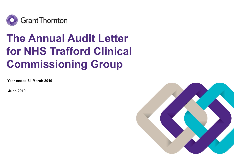

# The Annual Audit Letter for NHS Trafford Clinical Commissioning Group

Year ended 31 March 2019

June 2019

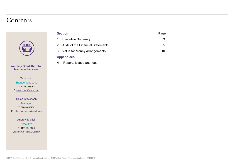### **Contents**



Your key Grant Thornton team members are:

> Mark Heap Engagement Lead T: 07880 456204 E: mark.r.heap@uk.gt.com

Helen Stevenson

Manager

T: 07880 456209

E: helen.l.stevenson@uk.gt.com

Andrew McNeil

**Executive** T: 0161 234 6366 E: andrew.mcneil@uk.gt.com

|              | <b>Section</b>                       | Page            |  |
|--------------|--------------------------------------|-----------------|--|
|              | 1. Executive Summary                 | $\mathfrak{S}$  |  |
|              | 2. Audit of the Financial Statements | $5\phantom{.0}$ |  |
|              | 3. Value for Money arrangements      | $10$            |  |
|              | <b>Appendices</b>                    |                 |  |
| $\mathsf{A}$ | Reports issued and fees              |                 |  |
|              |                                      |                 |  |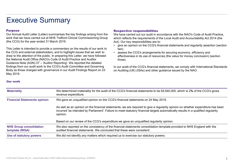### Executive Summary

#### Purpose

This Letter is intended to provide a commentary on the results of our work to the CCG and external stakeholders, and to highlight issues that we wish to **exe** assess the CCG's arrangements for securing economy, efficiency and draw to the attention of the public. In preparing this Letter, we have followed the National Audit Office (NAO)'s Code of Audit Practice and Auditor Executive Summarises the key findings arising from the We have carried our Annual Audit Letter (Letter) summarises the key findings arising from the We have carried (the CCG) for the year ended 31 March 2019.<br>
This Letter findings from our audit work to the CCG's Audit Committee and Governing Body as those charged with governance in our Audit Findings Report on 23 May 2019.

Respective responsibilities<br>We have carried out our audit in accordance with the NAO's Code of Audit Practice,<br>which reflects the requirements of the Local Audit and Accountability Act 2014 (the<br>Act). Our key responsibilit We have carried out our audit in accordance with the NAO's Code of Audit Practice, which reflects the requirements of the Local Audit and Accountability Act 2014 (the Act). Our key responsibilities are to: **France Separative responsibilities**<br>
We have carried out our audit in accordance with the NAO's Code of Audit Practice,<br>
which reflects the requirements of the Local Audit and Accountability Act 2014 (the<br>
Act). Our key r **Respective responsibilities**<br>We have carried out our audit in accordance with the NAO's Code of Audit Practice,<br>which reflects the requirements of the Local Audit and Accountability Act 2014 (the<br>Act). Our key responsibi

- two)
- effectiveness in its use of resources (the value for money conclusion) (section three).

#### Our work

| <b>Purpose</b><br>(the CCG) for the year ended 31 March 2019.<br>the National Audit Office (NAO)'s Code of Audit Practice and Auditor                                    | Our Annual Audit Letter (Letter) summarises the key findings arising from the<br>work that we have carried out at NHS Trafford Clinical Commissioning Group<br>This Letter is intended to provide a commentary on the results of our work to<br>the CCG and external stakeholders, and to highlight issues that we wish to<br>draw to the attention of the public. In preparing this Letter, we have followed<br>Guidance Note (AGN) 07 - 'Auditor Reporting'. We reported the detailed | <b>Respective responsibilities</b><br>We have carried out our audit in accordance with the NAO's Code of Audit Practice,<br>which reflects the requirements of the Local Audit and Accountability Act 2014 (the<br>Act). Our key responsibilities are to:<br>give an opinion on the CCG's financial statements and regularity assertion (section<br>two)<br>assess the CCG's arrangements for securing economy, efficiency and<br>effectiveness in its use of resources (the value for money conclusion) (section<br>three). |  |  |  |
|--------------------------------------------------------------------------------------------------------------------------------------------------------------------------|-----------------------------------------------------------------------------------------------------------------------------------------------------------------------------------------------------------------------------------------------------------------------------------------------------------------------------------------------------------------------------------------------------------------------------------------------------------------------------------------|------------------------------------------------------------------------------------------------------------------------------------------------------------------------------------------------------------------------------------------------------------------------------------------------------------------------------------------------------------------------------------------------------------------------------------------------------------------------------------------------------------------------------|--|--|--|
| May 2019.                                                                                                                                                                | findings from our audit work to the CCG's Audit Committee and Governing<br>Body as those charged with governance in our Audit Findings Report on 23                                                                                                                                                                                                                                                                                                                                     | In our audit of the CCG's financial statements, we comply with International Standards<br>on Auditing (UK) (ISAs) and other guidance issued by the NAO.                                                                                                                                                                                                                                                                                                                                                                      |  |  |  |
| <b>Our work</b>                                                                                                                                                          |                                                                                                                                                                                                                                                                                                                                                                                                                                                                                         |                                                                                                                                                                                                                                                                                                                                                                                                                                                                                                                              |  |  |  |
| <b>Materiality</b><br>We determined materiality for the audit of the CCG's financial statements to be £6,940,000, which is 2% of the CCG's gross<br>revenue expenditure. |                                                                                                                                                                                                                                                                                                                                                                                                                                                                                         |                                                                                                                                                                                                                                                                                                                                                                                                                                                                                                                              |  |  |  |
| <b>Financial Statements opinion</b>                                                                                                                                      |                                                                                                                                                                                                                                                                                                                                                                                                                                                                                         | We gave an unqualified opinion on the CCG's financial statements on 24 May 2019.                                                                                                                                                                                                                                                                                                                                                                                                                                             |  |  |  |
|                                                                                                                                                                          | opinion.                                                                                                                                                                                                                                                                                                                                                                                                                                                                                | As well as an opinion on the financial statements, we are required to give a regularity opinion on whether expenditure has been<br>incurred 'as intended by Parliament'. Failure to meet statutory financial targets automatically results in a qualified regularity                                                                                                                                                                                                                                                         |  |  |  |
|                                                                                                                                                                          |                                                                                                                                                                                                                                                                                                                                                                                                                                                                                         | Based on our review of the CCG's expenditure we gave an unqualified regularity opinion.                                                                                                                                                                                                                                                                                                                                                                                                                                      |  |  |  |
| <b>NHS Group consolidation</b>                                                                                                                                           | audited financial statements. We concluded that these were consistent.                                                                                                                                                                                                                                                                                                                                                                                                                  | We also reported on the consistency of the financial statements consolidation template provided to NHS England with the                                                                                                                                                                                                                                                                                                                                                                                                      |  |  |  |
| template (WGA)                                                                                                                                                           |                                                                                                                                                                                                                                                                                                                                                                                                                                                                                         |                                                                                                                                                                                                                                                                                                                                                                                                                                                                                                                              |  |  |  |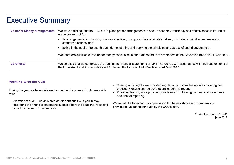### Executive Summary

| <b>Executive Summary</b>            |                                                                                                                                                    |                                                                                                                                                                                                                                                           |
|-------------------------------------|----------------------------------------------------------------------------------------------------------------------------------------------------|-----------------------------------------------------------------------------------------------------------------------------------------------------------------------------------------------------------------------------------------------------------|
| <b>Value for Money arrangements</b> | resources except for:                                                                                                                              | We were satisfied that the CCG put in place proper arrangements to ensure economy, efficiency and effectiveness in its use of                                                                                                                             |
|                                     | statutory functions, and                                                                                                                           | • its arrangements for planning finances effectively to support the sustainable delivery of strategic priorities and maintain                                                                                                                             |
|                                     |                                                                                                                                                    | acting in the public interest, through demonstrating and applying the principles and values of sound governance.                                                                                                                                          |
|                                     |                                                                                                                                                    | We therefore qualified our value for money conclusion in our audit report to the members of the Governing Body on 24 May 2019.                                                                                                                            |
| <b>Certificate</b>                  |                                                                                                                                                    | We certified that we completed the audit of the financial statements of NHS Trafford CCG in accordance with the requirements of<br>the Local Audit and Accountability Act 2014 and the Code of Audit Practice on 24 May 2019.                             |
| <b>Working with the CCG</b>         |                                                                                                                                                    |                                                                                                                                                                                                                                                           |
| you:                                | During the year we have delivered a number of successful outcomes with                                                                             | Sharing our insight - we provided regular audit committee updates covering best<br>practice. We also shared our thought leadership reports<br>• Providing training - we provided your teams with training on financial statements<br>and annual reporting |
| your finance team for other work.   | An efficient audit – we delivered an efficient audit with you in May,<br>delivering the financial statements 5 days before the deadline, releasing | We would like to record our appreciation for the assistance and co-operation<br>provided to us during our audit by the CCG's staff.                                                                                                                       |
|                                     |                                                                                                                                                    | <b>Grant Thornton UK LLP</b><br><b>June 2019</b>                                                                                                                                                                                                          |

- delivering the financial statements 5 days before the deadline, releasing your finance team for other work.
- practice. We also shared our thought leadership reports
- and annual reporting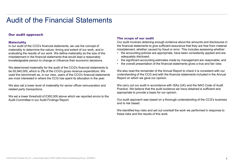#### Our audit approach

#### **Materiality**

In our audit of the CCG's financial statements, we use the concept of materiality to determine the nature, timing and extent of our work, and in misstatement, whether caused by fraud or error. This includes assessing whether:<br>evaluating the results of our work. We define materiality as the s evaluating the results of our work. We define materiality as the size of the misstatement in the financial statements that would lead a reasonably **mode and adequately disclosed**;<br>Read that accounting estimates made by management are reasonable: and **example and intervent in the standiture of** knowledgeable person to change or influence their economic decisions.<br>• the overall presentation of the financial statements gives a true and fair view.

We determined materiality for the audit of the CCG's financial statements to be £6,940,000, which is 2% of the CCG's gross revenue expenditure. We used this benchmark as, in our view, users of the CCG's financial statements are most interested in where the CCG has spent its allocation in the year.

We also set a lower level of materiality for senior officer remuneration and related party transactions.

We set a lower threshold of £300,000 above which we reported errors to the Audit Committee in our Audit Findings Report.

#### The scope of our audit

Our audit involves obtaining enough evidence about the amounts and disclosures in the financial statements to give sufficient assurance that they are free from material misstatement, whether caused by fraud or error. This includes assessing whether: **The scope of our audit**<br>• Our audit involves obtaining enough evidence about the amounts and disclosures in<br>the financial statements to give sufficient assurance that they are free from material<br>• the accounting policies The scope of our audit<br>Our audit involves obtaining enough evidence about the amounts and disclosures in<br>the financial statements to give sufficient assurance that they are free from material<br>misstatement, whether caused b

- adequately disclosed;
- 
- 

The scope of our audit<br>
Our audit involves obtaining enough evidence about the amounts and disclosures in<br>
the financial statements to give sufficient assurance that they are free from material<br>
misstatement, whether cause We also read the remainder of the Annual Report to check it is consistent with our understanding of the CCG and with the financial statements included in the Annual Report on which we gave our opinion.

We carry out our audit in accordance with ISAs (UK) and the NAO Code of Audit Practice. We believe that the audit evidence we have obtained is sufficient and appropriate to provide a basis for our opinion.

Our audit approach was based on a thorough understanding of the CCG's business and is risk based.

We identified key risks and set out overleaf the work we performed in response to these risks and the results of this work.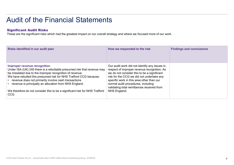#### Significant Audit Risks

| <b>Audit of the Financial Statements</b>                                                                                            |                                                                                            |                                 |  |  |  |  |
|-------------------------------------------------------------------------------------------------------------------------------------|--------------------------------------------------------------------------------------------|---------------------------------|--|--|--|--|
| <b>Significant Audit Risks</b>                                                                                                      |                                                                                            |                                 |  |  |  |  |
| These are the significant risks which had the greatest impact on our overall strategy and where we focused more of our work.        |                                                                                            |                                 |  |  |  |  |
|                                                                                                                                     |                                                                                            |                                 |  |  |  |  |
|                                                                                                                                     |                                                                                            |                                 |  |  |  |  |
| Risks identified in our audit plan                                                                                                  | How we responded to the risk                                                               | <b>Findings and conclusions</b> |  |  |  |  |
|                                                                                                                                     |                                                                                            |                                 |  |  |  |  |
| <b>Improper revenue recognition</b>                                                                                                 | Our audit work did not identify any issues in                                              |                                 |  |  |  |  |
| Under ISA (UK) 240 there is a rebuttable presumed risk that revenue may<br>be misstated due to the improper recognition of revenue. | respect of improper revenue recognition. As<br>we do not consider this to be a significant |                                 |  |  |  |  |
| We have rebutted this presumed risk for NHS Trafford CCG because:<br>• revenue does not primarily involve cash transactions         | risk for the CCG we did not undertake any<br>specific work in this area other than our     |                                 |  |  |  |  |
| • revenue is principally an allocation from NHS England                                                                             | normal audit procedures, including<br>validating total remittances received from           |                                 |  |  |  |  |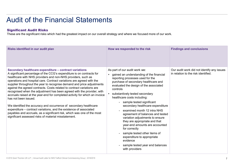#### Significant Audit Risks

| <b>Audit of the Financial Statements</b>                                                                                                                                                                                                                                                                                                                                                                                                                                                                                                                                                                                                                                                                                                                                                                                                                                                    |                                                                                                                                                                                                                                                                                                                                                                                                                                                                                                                                                                                                                                                                        |                                                                                   |  |  |  |  |
|---------------------------------------------------------------------------------------------------------------------------------------------------------------------------------------------------------------------------------------------------------------------------------------------------------------------------------------------------------------------------------------------------------------------------------------------------------------------------------------------------------------------------------------------------------------------------------------------------------------------------------------------------------------------------------------------------------------------------------------------------------------------------------------------------------------------------------------------------------------------------------------------|------------------------------------------------------------------------------------------------------------------------------------------------------------------------------------------------------------------------------------------------------------------------------------------------------------------------------------------------------------------------------------------------------------------------------------------------------------------------------------------------------------------------------------------------------------------------------------------------------------------------------------------------------------------------|-----------------------------------------------------------------------------------|--|--|--|--|
| <b>Significant Audit Risks</b><br>These are the significant risks which had the greatest impact on our overall strategy and where we focused more of our work.                                                                                                                                                                                                                                                                                                                                                                                                                                                                                                                                                                                                                                                                                                                              |                                                                                                                                                                                                                                                                                                                                                                                                                                                                                                                                                                                                                                                                        |                                                                                   |  |  |  |  |
| Risks identified in our audit plan                                                                                                                                                                                                                                                                                                                                                                                                                                                                                                                                                                                                                                                                                                                                                                                                                                                          | How we responded to the risk                                                                                                                                                                                                                                                                                                                                                                                                                                                                                                                                                                                                                                           | <b>Findings and conclusions</b>                                                   |  |  |  |  |
| Secondary healthcare expenditure - contract variations<br>A significant percentage of the CCG's expenditure is on contracts for<br>healthcare with NHS providers and non-NHS providers, such as<br>operations and hospital care. Contract variations are agreed with the<br>supplier throughout the year to recognise demand and price adjustments<br>against the agreed contracts. Costs related to contract variations are<br>recognised when the adjustment has been agreed with the provider, with<br>accruals raised at the year-end for completed activity for which an invoice<br>has not been issued.<br>We identified the accuracy and occurrence of secondary healthcare<br>expenditure - contract variations, and the existence of associated<br>payables and accruals, as a significant risk, which was one of the most<br>significant assessed risks of material misstatement. | As part of our audit work we:<br>gained an understanding of the financial<br>reporting processes used for the<br>purchase of secondary healthcare and<br>evaluated the design of the associated<br>controls<br>substantively tested secondary<br>healthcare costs including:<br>sample tested significant<br>secondary healthcare expenditure<br>examined month 12 intra NHS<br>agreement of balances and tested<br>variation adjustments to ensure<br>they are appropriate and that<br>year-end amounts are accounted<br>for correctly<br>sample tested other items of<br>expenditure to appropriate<br>evidence<br>sample tested year end balances<br>with providers | Our audit work did not identify any issues<br>in relation to the risk identified. |  |  |  |  |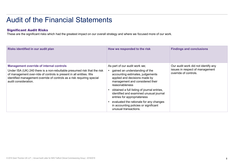#### Significant Audit Risks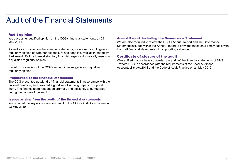#### Audit opinion

We gave an unqualified opinion on the CCG's financial statements on 24 May 2019.

As well as an opinion on the financial statements, we are required to give a regularity opinion on whether expenditure has been incurred 'as intended by Parliament'. Failure to meet statutory financial targets automatically results in a qualified regularity opinion.

Based on our review of the CCG's expenditure we gave an unqualified regularity opinion.

#### Preparation of the financial statements

The CCG presented us with draft financial statements in accordance with the national deadline, and provided a good set of working papers to support them. The finance team responded promptly and efficiently to our queries during the course of the audit.

#### Issues arising from the audit of the financial statements

We reported the key issues from our audit to the CCG's Audit Committee on 23 May 2019.

#### Annual Report, including the Governance Statement

We are also required to review the CCG's Annual Report and the Governance Statement included within the Annual Report. It provided these on a timely basis with the draft financial statements with supporting evidence.

#### Certificate of closure of the audit

We certified that we have completed the audit of the financial statements of NHS Trafford CCG in accordance with the requirements of the Local Audit and Accountability Act 2014 and the Code of Audit Practice on 24 May 2019.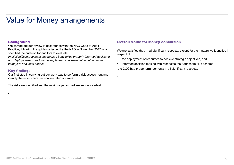#### **Background**

We carried out our review in accordance with the NAO Code of Audit Practice, following the guidance issued by the NAO in November 2017 which specified the criterion for auditors to evaluate:

In all significant respects, the audited body takes properly informed decisions<br>and deploys resources to achieve planned and sustainable outcomes for the deployment of resources to achieve strategic objectives, and and deploys resources to achieve planned and sustainable outcomes for taxpayers and local people.

#### Key findings

.

Our first step in carrying out our work was to perform a risk assessment and identify the risks where we concentrated our work.

The risks we identified and the work we performed are set out overleaf.

#### Overall Value for Money conclusion

.

We are satisfied that, in all significant respects, except for the matters we identified in respect of: • **Overall Value for Money conclusion**<br>• We are satisfied that, in all significant respects, except for the matters we identified in<br>• the deployment of resources to achieve strategic objectives, and<br>• informed decision m • **Overall Value for Money conclusion**<br>• We are satisfied that, in all significant respects, except for the matters we identified in<br>• respect of:<br>• the deployment of resources to achieve strategic objectives, and<br>• inform

- 
- the CCG had proper arrangements in all significant respects.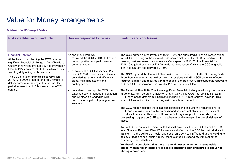### Value for Money Risks

| Value for Money arrangements<br><b>Value for Money Risks</b>                                                                                                                                                                                                                                                                                                                                                                                                                      |                                                                                                                                                                                                                                                                                                                                                                                                                                                                      |                                                                                                                                                                                                                                                                                                                                                                                                                                                                                                                                                                                                                                                                                                                                                                                                                                                                                                                                                                                                                                                                                                                                                                                                                                                                                                                                                                                                                                                                                                                                                                                                                                                                                                                                                                                                                                                                                                                                                                                                                                                                             |  |  |  |  |
|-----------------------------------------------------------------------------------------------------------------------------------------------------------------------------------------------------------------------------------------------------------------------------------------------------------------------------------------------------------------------------------------------------------------------------------------------------------------------------------|----------------------------------------------------------------------------------------------------------------------------------------------------------------------------------------------------------------------------------------------------------------------------------------------------------------------------------------------------------------------------------------------------------------------------------------------------------------------|-----------------------------------------------------------------------------------------------------------------------------------------------------------------------------------------------------------------------------------------------------------------------------------------------------------------------------------------------------------------------------------------------------------------------------------------------------------------------------------------------------------------------------------------------------------------------------------------------------------------------------------------------------------------------------------------------------------------------------------------------------------------------------------------------------------------------------------------------------------------------------------------------------------------------------------------------------------------------------------------------------------------------------------------------------------------------------------------------------------------------------------------------------------------------------------------------------------------------------------------------------------------------------------------------------------------------------------------------------------------------------------------------------------------------------------------------------------------------------------------------------------------------------------------------------------------------------------------------------------------------------------------------------------------------------------------------------------------------------------------------------------------------------------------------------------------------------------------------------------------------------------------------------------------------------------------------------------------------------------------------------------------------------------------------------------------------------|--|--|--|--|
|                                                                                                                                                                                                                                                                                                                                                                                                                                                                                   |                                                                                                                                                                                                                                                                                                                                                                                                                                                                      |                                                                                                                                                                                                                                                                                                                                                                                                                                                                                                                                                                                                                                                                                                                                                                                                                                                                                                                                                                                                                                                                                                                                                                                                                                                                                                                                                                                                                                                                                                                                                                                                                                                                                                                                                                                                                                                                                                                                                                                                                                                                             |  |  |  |  |
| <b>Financial Position</b><br>At the time of our planning the CCG faced a<br>significant financial challenge in 2018/19 with a<br>Quality, Innovation, Productivity and Prevention<br>Plan (QIPP) requirement of £23.2m to meet its<br>statutory duty of in-year breakeven.<br>The CCG's 3 year Financial Recovery Plan<br>2018/19 to 2020/21 set out the requirement to<br>deliver cumulative savings of £45m over the<br>period to meet the NHS business rules of 2%<br>surplus. | As part of our work we:<br>• reviewed the CCG's 2018/19 financial<br>outturn position and performance<br>during the year.<br>examined the CCG's Financial Plan<br>from 2019/20 onwards which included<br>considering savings and efficiency<br>plans, mitigating actions and<br>contingencies.<br>considered the steps the CCG has<br>taken to seek to manage the situation<br>and whether it is engaging with<br>partners to help develop longer-term<br>solutions. | The CCG agreed a breakeven plan for 2018/19 and submitted a financial recovery plan<br>to GMHSCP setting out how it would address its historic deficit of £3.9m and return to<br>meeting business rules of a cumulative 2% surplus by 2020/21. The Financial Plan<br>2018/19 required savings of £23.2m to deliver breakeven of which the CCG originally<br>identified £10.3m and delivered £7.5m.<br>The CCG reported the Financial Plan position in finance reports to the Governing Body<br>throughout the year. It has held ongoing discussions with GMHSCP on levels of non-<br>recurrent support and received £14m to enable it to breakeven. This support is repayable<br>and the CCG has included it in its initial 2019/20 Financial Plan.<br>The Financial Plan 2019/20 outlines significant financial challenges with a gross savings<br>target of £23.9m (before the inclusion of £7m CSF). The CCG has identified £15.5m<br>QIPP schemes to date from initial plans, including £10.8m of recurrent savings. This<br>leaves £1.4m unidentified net savings with no schemes attached.<br>The CCG recognises that there is a significant risk in achieving the required level of<br>QIPP and risks associated with commissioned services not aligning to the views of<br>providers. It has recently set up a Business Delivery Group with responsibility for<br>overseeing progress on QIPP savings schemes and managing the overall delivery of<br>these.<br>Trafford CCG continues to discuss its financial position with GMHSCP as part of its 3<br>year Financial Recovery Plan. Whilst we are satisfied that the CCG has set priorities for<br>transforming the delivery of health and social care services in Trafford and is working to<br>achieve future financial sustainability, there is ongoing uncertainty with respect to<br>achieving financial balance.<br>We therefore concluded that there are weaknesses in setting a sustainable<br>budget with sufficient capacity to absorb emerging cost pressures to deliver its<br>strategic priorities. |  |  |  |  |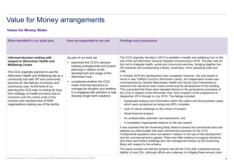### Value for Money Risks

| <b>Value for Money arrangements</b>                                                                                                                                                                                                                                                                                                                                                                                                                                                                                              |                                                                                                                                                                                                                                                                                                                                                          |                                                                                                                                                                                                                                                                                                                                                                                                                                                                                                                                                                                                                                                                                                                                                                                                                                                                                                                                                                                                                                                                                                                                                                                                                                                                                                                                                                                                                                                                                                                                                                                                                                                                                                                                                                                                                                                                                     |
|----------------------------------------------------------------------------------------------------------------------------------------------------------------------------------------------------------------------------------------------------------------------------------------------------------------------------------------------------------------------------------------------------------------------------------------------------------------------------------------------------------------------------------|----------------------------------------------------------------------------------------------------------------------------------------------------------------------------------------------------------------------------------------------------------------------------------------------------------------------------------------------------------|-------------------------------------------------------------------------------------------------------------------------------------------------------------------------------------------------------------------------------------------------------------------------------------------------------------------------------------------------------------------------------------------------------------------------------------------------------------------------------------------------------------------------------------------------------------------------------------------------------------------------------------------------------------------------------------------------------------------------------------------------------------------------------------------------------------------------------------------------------------------------------------------------------------------------------------------------------------------------------------------------------------------------------------------------------------------------------------------------------------------------------------------------------------------------------------------------------------------------------------------------------------------------------------------------------------------------------------------------------------------------------------------------------------------------------------------------------------------------------------------------------------------------------------------------------------------------------------------------------------------------------------------------------------------------------------------------------------------------------------------------------------------------------------------------------------------------------------------------------------------------------------|
| <b>Value for Money Risks</b>                                                                                                                                                                                                                                                                                                                                                                                                                                                                                                     |                                                                                                                                                                                                                                                                                                                                                          |                                                                                                                                                                                                                                                                                                                                                                                                                                                                                                                                                                                                                                                                                                                                                                                                                                                                                                                                                                                                                                                                                                                                                                                                                                                                                                                                                                                                                                                                                                                                                                                                                                                                                                                                                                                                                                                                                     |
| Risks identified in our audit plan                                                                                                                                                                                                                                                                                                                                                                                                                                                                                               | How we responded to the risk                                                                                                                                                                                                                                                                                                                             | <b>Findings and conclusions</b>                                                                                                                                                                                                                                                                                                                                                                                                                                                                                                                                                                                                                                                                                                                                                                                                                                                                                                                                                                                                                                                                                                                                                                                                                                                                                                                                                                                                                                                                                                                                                                                                                                                                                                                                                                                                                                                     |
| Informed decision making with<br>respect to Altrincham Health and<br><b>Wellbeing Centre</b><br>The CCG originally planned to use the<br>Altrincham Health and Wellbeing site as a<br>community hub with GP and community<br>services for the delivery of primary and<br>community care. At the time of our<br>planning the CCG was re-visiting its long<br>term strategy on health provision due to<br>concerns over the rental costs of the<br>property and resultant lack of NHS<br>organisations making use of the facility. | As part of our work we:<br>• examined the CCG's decision<br>making arrangements and project<br>planning in relation to the<br>development and usage of the<br>Altrincham Hub.<br>■ considered whether the CCG<br>made informed decisions to<br>manage the situation and whether<br>it is engaging with partners to help<br>develop longer-term solutions | The CCG originally decided in 2014 to establish a health and wellbeing hub on the<br>site of the old Altrincham General Hospital commencing in 2016. The plan was for<br>the hub to integrate health, social and community services, bringing together two<br>GP practices and incorporating a library, pharmacy, minor operating suite and<br>café.<br>In October 2018 the development was completed. However, the only tenant to<br>move in was Trafford Council's Altrincham Library. An independent review was<br>commissioned by Greater Manchester Health and Social Care Partnership to<br>examine how decisions were made concerning the development of the building.<br>This concluded that there were repeated failures in the governance processes of<br>the CCG in relation to the Altrincham Hub, from inception of the programme in<br>September 2014 through to July 2018. The failings included:<br>Inadequate analysis and information within the outline and final business cases<br>which were recognised as being only 80% complete<br>Lack of robust challenge on the choice of location<br>Weak financial analysis<br>An unreasonably optimistic risk assessment, and<br>A completely inappropriate balance of risk and reward.<br>It was reported that the Governing Body failed to assess the commercial risks and<br>rewards as unfavourable with poor commercial outcomes for the CCG.<br>Fundamental questions were not asked in relation to the size of the development<br>and the commercial terms agreed. There was little evidence to support decisions<br>and there was limited challenge and risk management shown by the Governing<br>Body with respect to the scheme.<br>The report pointed out that the scheme has left the CCG with a potential annual<br>liability of over £2m, although efforts are underway to mitigate these annual costs. |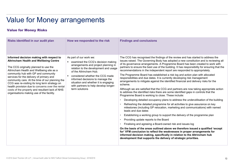#### Value for Money Risks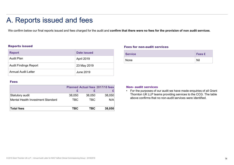### A. Reports issued and fees

We confirm below our final reports issued and fees charged for the audit and confirm that there were no fees for the provision of non audit services.

#### Reports issued

|               | A. Reports issued and fees   |                    |                                                                                                                        |  |
|---------------|------------------------------|--------------------|------------------------------------------------------------------------------------------------------------------------|--|
|               |                              |                    |                                                                                                                        |  |
|               |                              |                    | We confirm below our final reports issued and fees charged for the audit and confirm that there were no fees for the p |  |
|               |                              |                    |                                                                                                                        |  |
|               |                              |                    |                                                                                                                        |  |
|               | <b>Reports issued</b>        |                    | <b>Fees for non-audit service:</b>                                                                                     |  |
| <b>Report</b> |                              | <b>Date issued</b> | <b>Service</b>                                                                                                         |  |
|               | <b>Audit Plan</b>            | April 2019         | None                                                                                                                   |  |
|               | <b>Audit Findings Report</b> | 23 May 2019        |                                                                                                                        |  |
|               | <b>Annual Audit Letter</b>   | <b>June 2019</b>   |                                                                                                                        |  |

#### Fees for non-audit services

| at there were no fees for the provision of non audit services.                                                                        |               |  |  |  |  |  |
|---------------------------------------------------------------------------------------------------------------------------------------|---------------|--|--|--|--|--|
|                                                                                                                                       |               |  |  |  |  |  |
|                                                                                                                                       |               |  |  |  |  |  |
| <b>Fees for non-audit services</b>                                                                                                    |               |  |  |  |  |  |
| <b>Service</b>                                                                                                                        | <b>Fees £</b> |  |  |  |  |  |
| None                                                                                                                                  | Nil           |  |  |  |  |  |
|                                                                                                                                       |               |  |  |  |  |  |
|                                                                                                                                       |               |  |  |  |  |  |
|                                                                                                                                       |               |  |  |  |  |  |
| <b>Non- audit services</b>                                                                                                            |               |  |  |  |  |  |
| • For the purposes of our audit we have made enquiries of all Grant<br>Thornton UK LLP teams providing services to the CCG. The table |               |  |  |  |  |  |
| above confirms that no non-audit services were identified.                                                                            |               |  |  |  |  |  |

#### Fees and the contract of the contract of the contract of the contract of the contract of the contract of the contract of the contract of the contract of the contract of the contract of the contract of the contract of the c

| <b>Reports issued</b>             |            |                                              |        | <b>Fees for non-audit services</b>                                                  |     |
|-----------------------------------|------------|----------------------------------------------|--------|-------------------------------------------------------------------------------------|-----|
| <b>Report</b>                     |            | <b>Date issued</b>                           |        | <b>Service</b>                                                                      | Fe  |
| <b>Audit Plan</b>                 |            | April 2019                                   |        | None                                                                                | Nil |
| <b>Audit Findings Report</b>      |            | 23 May 2019                                  |        |                                                                                     |     |
| <b>Annual Audit Letter</b>        |            | <b>June 2019</b>                             |        |                                                                                     |     |
| <b>Fees</b>                       |            |                                              |        |                                                                                     |     |
|                                   | £          | <b>Planned Actual fees 2017/18 fees</b><br>£ |        | <b>Non- audit services</b><br>• For the purposes of our audit we have made enquirie |     |
| Statutory audit                   | 38,050     | 38,050                                       | 38,050 | Thornton UK LLP teams providing services to the CC                                  |     |
| Mental Health Investment Standard | <b>TBC</b> | <b>TBC</b>                                   | N/A    | above confirms that no non-audit services were ident                                |     |
| <b>Total fees</b>                 | <b>TBC</b> | <b>TBC</b>                                   | 38,050 |                                                                                     |     |

#### **Non- audit services**

 $\boldsymbol{\epsilon}$   $\boldsymbol{\epsilon}$   $\boldsymbol{\epsilon}$   $\boldsymbol{\epsilon}$   $\boldsymbol{\epsilon}$  For the purposes of our a Thornton UK LLP teams providing services to the CCG. The table above confirms that no non-audit services were identified.